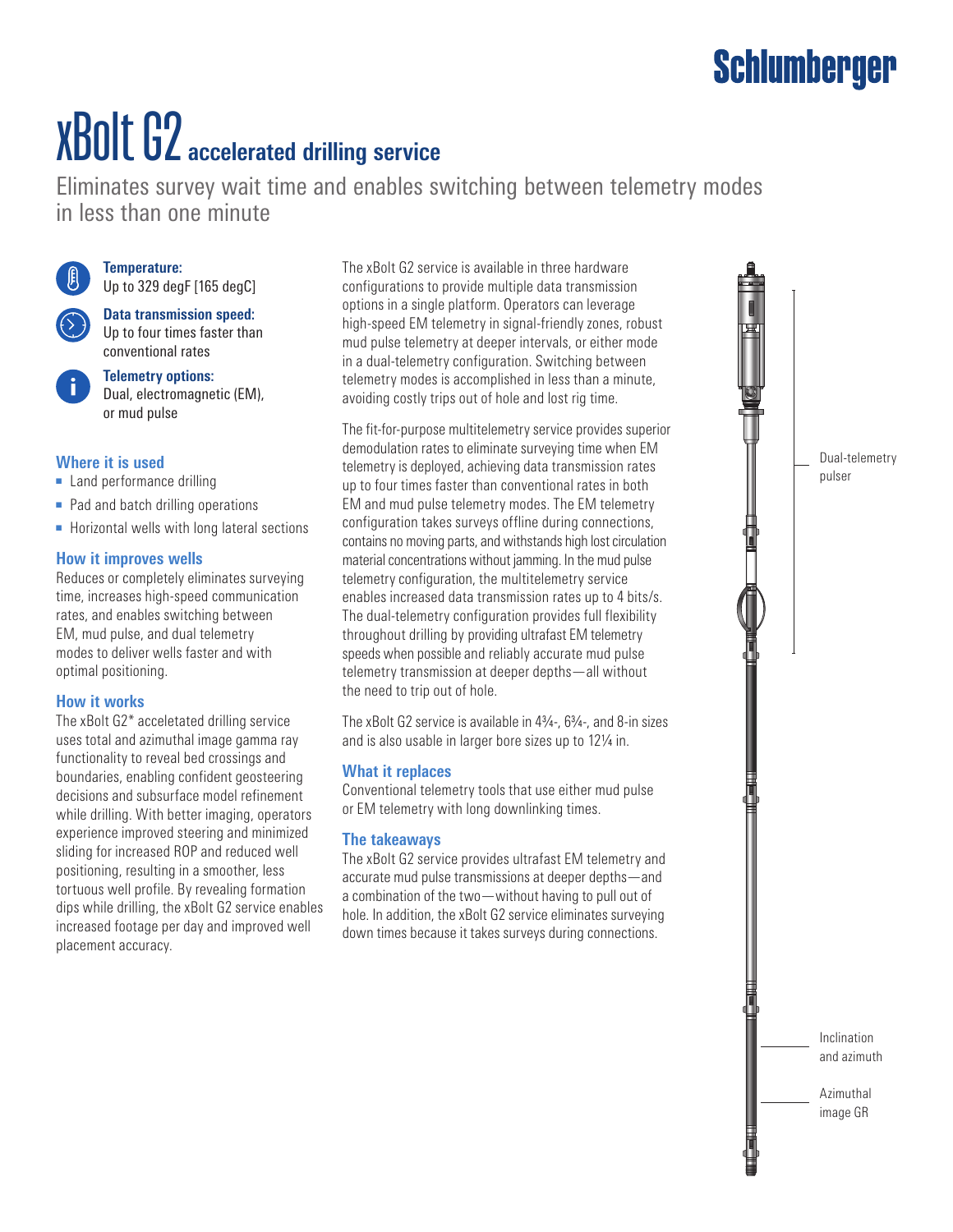# xBolt G2 **accelerated drilling service**

Eliminates survey wait time and enables switching between telemetry modes in less than one minute



**Temperature:** Up to 329 degF [165 degC]

**Data transmission speed:**  Up to four times faster than conventional rates

**Telemetry options:**  Dual, electromagnetic (EM), or mud pulse

#### **Where it is used**

- Land performance drilling
- Pad and batch drilling operations
- Horizontal wells with long lateral sections

#### **How it improves wells**

Reduces or completely eliminates surveying time, increases high-speed communication rates, and enables switching between EM, mud pulse, and dual telemetry modes to deliver wells faster and with optimal positioning.

#### **How it works**

The xBolt G2\* acceletated drilling service uses total and azimuthal image gamma ray functionality to reveal bed crossings and boundaries, enabling confident geosteering decisions and subsurface model refinement while drilling. With better imaging, operators experience improved steering and minimized sliding for increased ROP and reduced well positioning, resulting in a smoother, less tortuous well profile. By revealing formation dips while drilling, the xBolt G2 service enables increased footage per day and improved well placement accuracy.

The xBolt G2 service is available in three hardware configurations to provide multiple data transmission options in a single platform. Operators can leverage high-speed EM telemetry in signal-friendly zones, robust mud pulse telemetry at deeper intervals, or either mode in a dual-telemetry configuration. Switching between telemetry modes is accomplished in less than a minute, avoiding costly trips out of hole and lost rig time.

The fit-for-purpose multitelemetry service provides superior demodulation rates to eliminate surveying time when EM telemetry is deployed, achieving data transmission rates up to four times faster than conventional rates in both EM and mud pulse telemetry modes. The EM telemetry configuration takes surveys offline during connections, contains no moving parts, and withstands high lost circulation material concentrations without jamming. In the mud pulse telemetry configuration, the multitelemetry service enables increased data transmission rates up to 4 bits/s. The dual-telemetry configuration provides full flexibility throughout drilling by providing ultrafast EM telemetry speeds when possible and reliably accurate mud pulse telemetry transmission at deeper depths—all without the need to trip out of hole.

The xBolt G2 service is available in 43/4-, 63/4-, and 8-in sizes and is also usable in larger bore sizes up to 12¼ in.

#### **What it replaces**

Conventional telemetry tools that use either mud pulse or EM telemetry with long downlinking times.

#### **The takeaways**

The xBolt G2 service provides ultrafast EM telemetry and accurate mud pulse transmissions at deeper depths—and a combination of the two—without having to pull out of hole. In addition, the xBolt G2 service eliminates surveying down times because it takes surveys during connections.